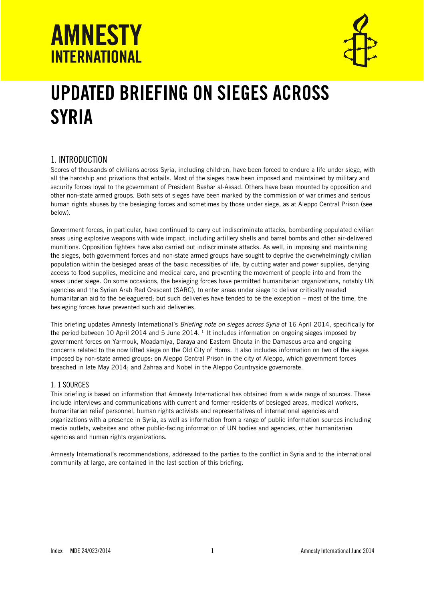

# UPDATED BRIEFING ON SIEGES ACROSS **SYRIA**

### 1. INTRODUCTION

Scores of thousands of civilians across Syria, including children, have been forced to endure a life under siege, with all the hardship and privations that entails. Most of the sieges have been imposed and maintained by military and security forces loyal to the government of President Bashar al-Assad. Others have been mounted by opposition and other non-state armed groups. Both sets of sieges have been marked by the commission of war crimes and serious human rights abuses by the besieging forces and sometimes by those under siege, as at Aleppo Central Prison (see below).

Government forces, in particular, have continued to carry out indiscriminate attacks, bombarding populated civilian areas using explosive weapons with wide impact, including artillery shells and barrel bombs and other air-delivered munitions. Opposition fighters have also carried out indiscriminate attacks. As well, in imposing and maintaining the sieges, both government forces and non-state armed groups have sought to deprive the overwhelmingly civilian population within the besieged areas of the basic necessities of life, by cutting water and power supplies, denying access to food supplies, medicine and medical care, and preventing the movement of people into and from the areas under siege. On some occasions, the besieging forces have permitted humanitarian organizations, notably UN agencies and the Syrian Arab Red Crescent (SARC), to enter areas under siege to deliver critically needed humanitarian aid to the beleaguered; but such deliveries have tended to be the exception – most of the time, the besieging forces have prevented such aid deliveries.

This briefing updates Amnesty International's *Briefing note on sieges across Syria* of 16 April 2014, specifically for the period between 10 April 2014 and 5 June 2014.  $^1$  It includes information on ongoing sieges imposed by government forces on Yarmouk, Moadamiya, Daraya and Eastern Ghouta in the Damascus area and ongoing concerns related to the now lifted siege on the Old City of Homs. It also includes information on two of the sieges imposed by non-state armed groups: on Aleppo Central Prison in the city of Aleppo, which government forces breached in late May 2014; and Zahraa and Nobel in the Aleppo Countryside governorate.

#### 1. 1 SOURCES

This briefing is based on information that Amnesty International has obtained from a wide range of sources. These include interviews and communications with current and former residents of besieged areas, medical workers, humanitarian relief personnel, human rights activists and representatives of international agencies and organizations with a presence in Syria, as well as information from a range of public information sources including media outlets, websites and other public-facing information of UN bodies and agencies, other humanitarian agencies and human rights organizations.

Amnesty International's recommendations, addressed to the parties to the conflict in Syria and to the international community at large, are contained in the last section of this briefing.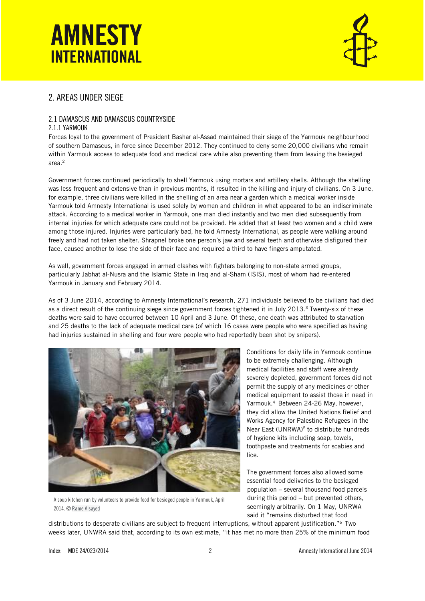

### 2. AREAS UNDER SIEGE

#### 2.1 DAMASCUS AND DAMASCUS COUNTRYSIDE

#### 2.1.1 YARMOUK

Forces loyal to the government of President Bashar al-Assad maintained their siege of the Yarmouk neighbourhood of southern Damascus, in force since December 2012. They continued to deny some 20,000 civilians who remain within Yarmouk access to adequate food and medical care while also preventing them from leaving the besieged area.<sup>2</sup>

Government forces continued periodically to shell Yarmouk using mortars and artillery shells. Although the shelling was less frequent and extensive than in previous months, it resulted in the killing and injury of civilians. On 3 June, for example, three civilians were killed in the shelling of an area near a garden which a medical worker inside Yarmouk told Amnesty International is used solely by women and children in what appeared to be an indiscriminate attack. According to a medical worker in Yarmouk, one man died instantly and two men died subsequently from internal injuries for which adequate care could not be provided. He added that at least two women and a child were among those injured. Injuries were particularly bad, he told Amnesty International, as people were walking around freely and had not taken shelter. Shrapnel broke one person's jaw and several teeth and otherwise disfigured their face, caused another to lose the side of their face and required a third to have fingers amputated.

As well, government forces engaged in armed clashes with fighters belonging to non-state armed groups, particularly Jabhat al-Nusra and the Islamic State in Iraq and al-Sham (ISIS), most of whom had re-entered Yarmouk in January and February 2014.

As of 3 June 2014, according to Amnesty International's research, 271 individuals believed to be civilians had died as a direct result of the continuing siege since government forces tightened it in July 2013.<sup>3</sup> Twenty-six of these deaths were said to have occurred between 10 April and 3 June. Of these, one death was attributed to starvation and 25 deaths to the lack of adequate medical care (of which 16 cases were people who were specified as having had injuries sustained in shelling and four were people who had reportedly been shot by snipers).



A soup kitchen run by volunteers to provide food for besieged people in Yarmouk, April 2014. © Rame Alsayed

Conditions for daily life in Yarmouk continue to be extremely challenging. Although medical facilities and staff were already severely depleted, government forces did not permit the supply of any medicines or other medical equipment to assist those in need in Yarmouk.<sup>4</sup> Between 24-26 May, however, they did allow the United Nations Relief and Works Agency for Palestine Refugees in the Near East (UNRWA)<sup>5</sup> to distribute hundreds of hygiene kits including soap, towels, toothpaste and treatments for scabies and lice.

The government forces also allowed some essential food deliveries to the besieged population – several thousand food parcels during this period – but prevented others, seemingly arbitrarily. On 1 May, UNRWA said it "remains disturbed that food

distributions to desperate civilians are subject to frequent interruptions, without apparent justification."<sup>6</sup> Two weeks later, UNWRA said that, according to its own estimate, "it has met no more than 25% of the minimum food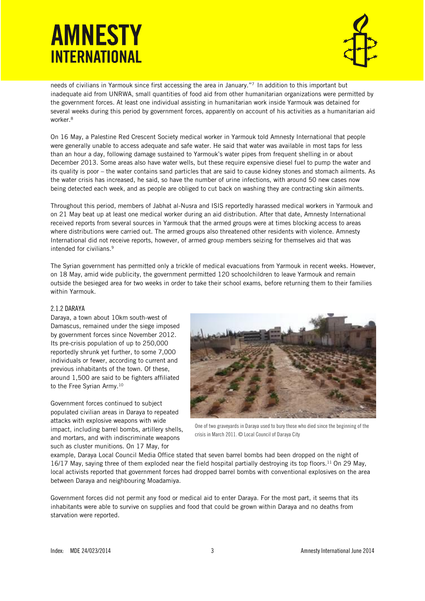

needs of civilians in Yarmouk since first accessing the area in January."<sup>7</sup> In addition to this important but inadequate aid from UNRWA, small quantities of food aid from other humanitarian organizations were permitted by the government forces. At least one individual assisting in humanitarian work inside Yarmouk was detained for several weeks during this period by government forces, apparently on account of his activities as a humanitarian aid worker.<sup>8</sup>

On 16 May, a Palestine Red Crescent Society medical worker in Yarmouk told Amnesty International that people were generally unable to access adequate and safe water. He said that water was available in most taps for less than an hour a day, following damage sustained to Yarmouk's water pipes from frequent shelling in or about December 2013. Some areas also have water wells, but these require expensive diesel fuel to pump the water and its quality is poor – the water contains sand particles that are said to cause kidney stones and stomach ailments. As the water crisis has increased, he said, so have the number of urine infections, with around 50 new cases now being detected each week, and as people are obliged to cut back on washing they are contracting skin ailments.

Throughout this period, members of Jabhat al-Nusra and ISIS reportedly harassed medical workers in Yarmouk and on 21 May beat up at least one medical worker during an aid distribution. After that date, Amnesty International received reports from several sources in Yarmouk that the armed groups were at times blocking access to areas where distributions were carried out. The armed groups also threatened other residents with violence. Amnesty International did not receive reports, however, of armed group members seizing for themselves aid that was intended for civilians.<sup>9</sup>

The Syrian government has permitted only a trickle of medical evacuations from Yarmouk in recent weeks. However, on 18 May, amid wide publicity, the government permitted 120 schoolchildren to leave Yarmouk and remain outside the besieged area for two weeks in order to take their school exams, before returning them to their families within Yarmouk.

#### 2.1.2 DARAYA

Daraya, a town about 10km south-west of Damascus, remained under the siege imposed by government forces since November 2012. Its pre-crisis population of up to 250,000 reportedly shrunk yet further, to some 7,000 individuals or fewer, according to current and previous inhabitants of the town. Of these, around 1,500 are said to be fighters affiliated to the Free Syrian Army.<sup>10</sup>

Government forces continued to subject populated civilian areas in Daraya to repeated attacks with explosive weapons with wide impact, including barrel bombs, artillery shells, and mortars, and with indiscriminate weapons such as cluster munitions. On 17 May, for



One of two graveyards in Daraya used to bury those who died since the beginning of the crisis in March 2011. © Local Council of Daraya City

example, Daraya Local Council Media Office stated that seven barrel bombs had been dropped on the night of 16/17 May, saying three of them exploded near the field hospital partially destroying its top floors.<sup>11</sup> On 29 May, local activists reported that government forces had dropped barrel bombs with conventional explosives on the area between Daraya and neighbouring Moadamiya.

Government forces did not permit any food or medical aid to enter Daraya. For the most part, it seems that its inhabitants were able to survive on supplies and food that could be grown within Daraya and no deaths from starvation were reported.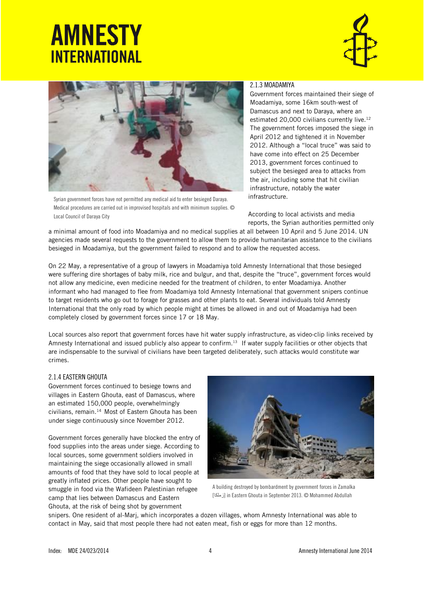



Syrian government forces have not permitted any medical aid to enter besieged Daraya. Medical procedures are carried out in improvised hospitals and with minimum supplies. © Local Council of Daraya City

#### 2.1.3 MOADAMIYA

Government forces maintained their siege of Moadamiya, some 16km south-west of Damascus and next to Daraya, where an estimated 20,000 civilians currently live.<sup>12</sup> The government forces imposed the siege in April 2012 and tightened it in November 2012. Although a "local truce" was said to have come into effect on 25 December 2013, government forces continued to subject the besieged area to attacks from the air, including some that hit civilian infrastructure, notably the water infrastructure.

According to local activists and media reports, the Syrian authorities permitted only

a minimal amount of food into Moadamiya and no medical supplies at all between 10 April and 5 June 2014. UN agencies made several requests to the government to allow them to provide humanitarian assistance to the civilians besieged in Moadamiya, but the government failed to respond and to allow the requested access.

On 22 May, a representative of a group of lawyers in Moadamiya told Amnesty International that those besieged were suffering dire shortages of baby milk, rice and bulgur, and that, despite the "truce", government forces would not allow any medicine, even medicine needed for the treatment of children, to enter Moadamiya. Another informant who had managed to flee from Moadamiya told Amnesty International that government snipers continue to target residents who go out to forage for grasses and other plants to eat. Several individuals told Amnesty International that the only road by which people might at times be allowed in and out of Moadamiya had been completely closed by government forces since 17 or 18 May.

Local sources also report that government forces have hit water supply infrastructure, as video-clip links received by Amnesty International and issued publicly also appear to confirm.<sup>13</sup> If water supply facilities or other objects that are indispensable to the survival of civilians have been targeted deliberately, such attacks would constitute war crimes.

#### 2.1.4 EASTERN GHOUTA

Government forces continued to besiege towns and villages in Eastern Ghouta, east of Damascus, where an estimated 150,000 people, overwhelmingly civilians, remain.<sup>14</sup> Most of Eastern Ghouta has been under siege continuously since November 2012.

Government forces generally have blocked the entry of food supplies into the areas under siege. According to local sources, some government soldiers involved in maintaining the siege occasionally allowed in small amounts of food that they have sold to local people at greatly inflated prices. Other people have sought to smuggle in food via the Wafideen Palestinian refugee camp that lies between Damascus and Eastern Ghouta, at the risk of being shot by government



A building destroyed by bombardment by government forces in Zamalka [زملكا [in Eastern Ghouta in September 2013. © Mohammed Abdullah

snipers. One resident of al-Marj, which incorporates a dozen villages, whom Amnesty International was able to contact in May, said that most people there had not eaten meat, fish or eggs for more than 12 months.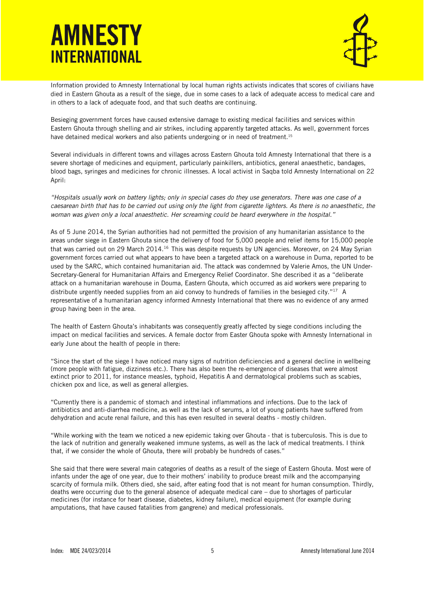

Information provided to Amnesty International by local human rights activists indicates that scores of civilians have died in Eastern Ghouta as a result of the siege, due in some cases to a lack of adequate access to medical care and in others to a lack of adequate food, and that such deaths are continuing.

Besieging government forces have caused extensive damage to existing medical facilities and services within Eastern Ghouta through shelling and air strikes, including apparently targeted attacks. As well, government forces have detained medical workers and also patients undergoing or in need of treatment.<sup>15</sup>

Several individuals in different towns and villages across Eastern Ghouta told Amnesty International that there is a severe shortage of medicines and equipment, particularly painkillers, antibiotics, general anaesthetic, bandages, blood bags, syringes and medicines for chronic illnesses. A local activist in Saqba told Amnesty International on 22 April:

*"Hospitals usually work on battery lights; only in special cases do they use generators. There was one case of a caesarean birth that has to be carried out using only the light from cigarette lighters. As there is no anaesthetic, the woman was given only a local anaesthetic. Her screaming could be heard everywhere in the hospital."*

As of 5 June 2014, the Syrian authorities had not permitted the provision of any humanitarian assistance to the areas under siege in Eastern Ghouta since the delivery of food for 5,000 people and relief items for 15,000 people that was carried out on 29 March 2014.<sup>16</sup> This was despite requests by UN agencies. Moreover, on 24 May Syrian government forces carried out what appears to have been a targeted attack on a warehouse in Duma, reported to be used by the SARC, which contained humanitarian aid. The attack was condemned by Valerie Amos, the UN Under-Secretary-General for Humanitarian Affairs and Emergency Relief Coordinator. She described it as a "deliberate attack on a humanitarian warehouse in Douma, Eastern Ghouta, which occurred as aid workers were preparing to distribute urgently needed supplies from an aid convoy to hundreds of families in the besieged city." <sup>17</sup> A representative of a humanitarian agency informed Amnesty International that there was no evidence of any armed group having been in the area.

The health of Eastern Ghouta's inhabitants was consequently greatly affected by siege conditions including the impact on medical facilities and services. A female doctor from Easter Ghouta spoke with Amnesty International in early June about the health of people in there:

"Since the start of the siege I have noticed many signs of nutrition deficiencies and a general decline in wellbeing (more people with fatigue, dizziness etc.). There has also been the re-emergence of diseases that were almost extinct prior to 2011, for instance measles, typhoid, Hepatitis A and dermatological problems such as scabies, chicken pox and lice, as well as general allergies.

"Currently there is a pandemic of stomach and intestinal inflammations and infections. Due to the lack of antibiotics and anti-diarrhea medicine, as well as the lack of serums, a lot of young patients have suffered from dehydration and acute renal failure, and this has even resulted in several deaths - mostly children.

"While working with the team we noticed a new epidemic taking over Ghouta - that is tuberculosis. This is due to the lack of nutrition and generally weakened immune systems, as well as the lack of medical treatments. I think that, if we consider the whole of Ghouta, there will probably be hundreds of cases."

She said that there were several main categories of deaths as a result of the siege of Eastern Ghouta. Most were of infants under the age of one year, due to their mothers' inability to produce breast milk and the accompanying scarcity of formula milk. Others died, she said, after eating food that is not meant for human consumption. Thirdly, deaths were occurring due to the general absence of adequate medical care – due to shortages of particular medicines (for instance for heart disease, diabetes, kidney failure), medical equipment (for example during amputations, that have caused fatalities from gangrene) and medical professionals.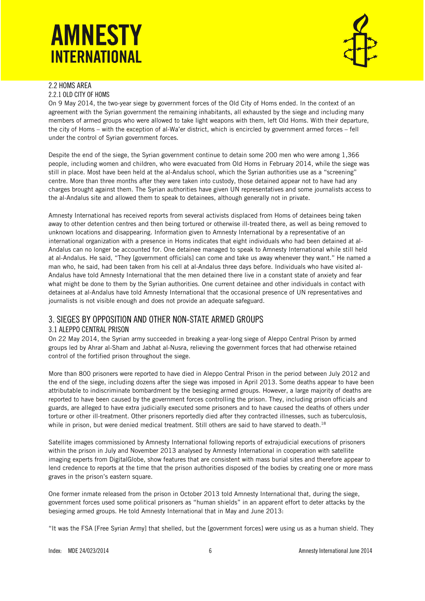

#### 2.2 HOMS AREA 2.2.1 OLD CITY OF HOMS

On 9 May 2014, the two-year siege by government forces of the Old City of Homs ended. In the context of an agreement with the Syrian government the remaining inhabitants, all exhausted by the siege and including many members of armed groups who were allowed to take light weapons with them, left Old Homs. With their departure, the city of Homs – with the exception of al-Wa'er district, which is encircled by government armed forces – fell under the control of Syrian government forces.

Despite the end of the siege, the Syrian government continue to detain some 200 men who were among 1,366 people, including women and children, who were evacuated from Old Homs in February 2014, while the siege was still in place. Most have been held at the al-Andalus school, which the Syrian authorities use as a "screening" centre. More than three months after they were taken into custody, those detained appear not to have had any charges brought against them. The Syrian authorities have given UN representatives and some journalists access to the al-Andalus site and allowed them to speak to detainees, although generally not in private.

Amnesty International has received reports from several activists displaced from Homs of detainees being taken away to other detention centres and then being tortured or otherwise ill-treated there, as well as being removed to unknown locations and disappearing. Information given to Amnesty International by a representative of an international organization with a presence in Homs indicates that eight individuals who had been detained at al-Andalus can no longer be accounted for. One detainee managed to speak to Amnesty International while still held at al-Andalus. He said, "They [government officials] can come and take us away whenever they want." He named a man who, he said, had been taken from his cell at al-Andalus three days before. Individuals who have visited al-Andalus have told Amnesty International that the men detained there live in a constant state of anxiety and fear what might be done to them by the Syrian authorities. One current detainee and other individuals in contact with detainees at al-Andalus have told Amnesty International that the occasional presence of UN representatives and journalists is not visible enough and does not provide an adequate safeguard.

### 3. SIEGES BY OPPOSITION AND OTHER NON-STATE ARMED GROUPS 3.1 ALEPPO CENTRAL PRISON

On 22 May 2014, the Syrian army succeeded in breaking a year-long siege of Aleppo Central Prison by armed groups led by Ahrar al-Sham and Jabhat al-Nusra, relieving the government forces that had otherwise retained control of the fortified prison throughout the siege.

More than 800 prisoners were reported to have died in Aleppo Central Prison in the period between July 2012 and the end of the siege, including dozens after the siege was imposed in April 2013. Some deaths appear to have been attributable to indiscriminate bombardment by the besieging armed groups. However, a large majority of deaths are reported to have been caused by the government forces controlling the prison. They, including prison officials and guards, are alleged to have extra judicially executed some prisoners and to have caused the deaths of others under torture or other ill-treatment. Other prisoners reportedly died after they contracted illnesses, such as tuberculosis, while in prison, but were denied medical treatment. Still others are said to have starved to death.<sup>18</sup>

Satellite images commissioned by Amnesty International following reports of extrajudicial executions of prisoners within the prison in July and November 2013 analysed by Amnesty International in cooperation with satellite imaging experts from DigitalGlobe, show features that are consistent with mass burial sites and therefore appear to lend credence to reports at the time that the prison authorities disposed of the bodies by creating one or more mass graves in the prison's eastern square.

One former inmate released from the prison in October 2013 told Amnesty International that, during the siege, government forces used some political prisoners as "human shields" in an apparent effort to deter attacks by the besieging armed groups. He told Amnesty International that in May and June 2013:

"It was the FSA [Free Syrian Army] that shelled, but the [government forces] were using us as a human shield. They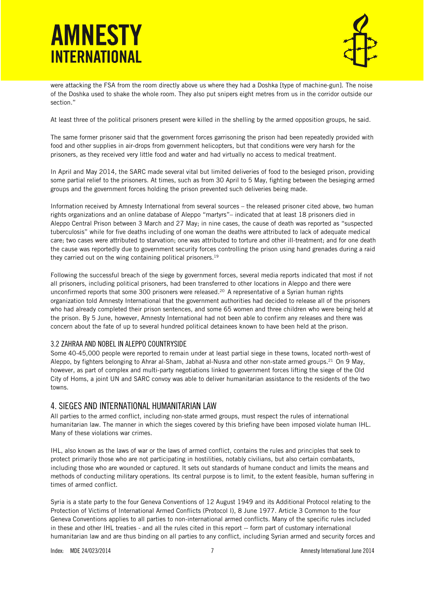

were attacking the FSA from the room directly above us where they had a Doshka [type of machine-gun]. The noise of the Doshka used to shake the whole room. They also put snipers eight metres from us in the corridor outside our section."

At least three of the political prisoners present were killed in the shelling by the armed opposition groups, he said.

The same former prisoner said that the government forces garrisoning the prison had been repeatedly provided with food and other supplies in air-drops from government helicopters, but that conditions were very harsh for the prisoners, as they received very little food and water and had virtually no access to medical treatment.

In April and May 2014, the SARC made several vital but limited deliveries of food to the besieged prison, providing some partial relief to the prisoners. At times, such as from 30 April to 5 May, fighting between the besieging armed groups and the government forces holding the prison prevented such deliveries being made.

Information received by Amnesty International from several sources – the released prisoner cited above, two human rights organizations and an online database of Aleppo "martyrs"– indicated that at least 18 prisoners died in Aleppo Central Prison between 3 March and 27 May; in nine cases, the cause of death was reported as "suspected tuberculosis" while for five deaths including of one woman the deaths were attributed to lack of adequate medical care; two cases were attributed to starvation; one was attributed to torture and other ill-treatment; and for one death the cause was reportedly due to government security forces controlling the prison using hand grenades during a raid they carried out on the wing containing political prisoners. 19

Following the successful breach of the siege by government forces, several media reports indicated that most if not all prisoners, including political prisoners, had been transferred to other locations in Aleppo and there were unconfirmed reports that some 300 prisoners were released.<sup>20</sup> A representative of a Syrian human rights organization told Amnesty International that the government authorities had decided to release all of the prisoners who had already completed their prison sentences, and some 65 women and three children who were being held at the prison. By 5 June, however, Amnesty International had not been able to confirm any releases and there was concern about the fate of up to several hundred political detainees known to have been held at the prison.

#### 3.2 ZAHRAA AND NOBEL IN ALEPPO COUNTRYSIDE

Some 40-45,000 people were reported to remain under at least partial siege in these towns, located north-west of Aleppo, by fighters belonging to Ahrar al-Sham, Jabhat al-Nusra and other non-state armed groups.<sup>21</sup> On 9 May, however, as part of complex and multi-party negotiations linked to government forces lifting the siege of the Old City of Homs, a joint UN and SARC convoy was able to deliver humanitarian assistance to the residents of the two towns.

### 4. SIEGES AND INTERNATIONAL HUMANITARIAN LAW

All parties to the armed conflict, including non-state armed groups, must respect the rules of international humanitarian law. The manner in which the sieges covered by this briefing have been imposed violate human IHL. Many of these violations war crimes.

IHL, also known as the laws of war or the laws of armed conflict, contains the rules and principles that seek to protect primarily those who are not participating in hostilities, notably civilians, but also certain combatants, including those who are wounded or captured. It sets out standards of humane conduct and limits the means and methods of conducting military operations. Its central purpose is to limit, to the extent feasible, human suffering in times of armed conflict.

Syria is a state party to the four Geneva Conventions of 12 August 1949 and its Additional Protocol relating to the Protection of Victims of International Armed Conflicts (Protocol I), 8 June 1977. Article 3 Common to the four Geneva Conventions applies to all parties to non-international armed conflicts. Many of the specific rules included in these and other IHL treaties - and all the rules cited in this report -- form part of customary international humanitarian law and are thus binding on all parties to any conflict, including Syrian armed and security forces and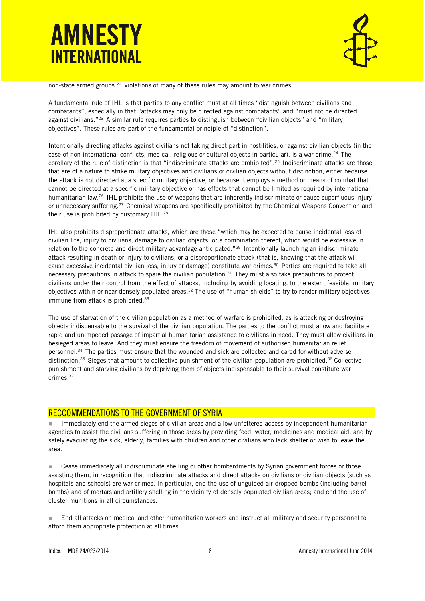

non-state armed groups.<sup>22</sup> Violations of many of these rules may amount to war crimes.

A fundamental rule of IHL is that parties to any conflict must at all times "distinguish between civilians and combatants", especially in that "attacks may only be directed against combatants" and "must not be directed against civilians."<sup>23</sup> A similar rule requires parties to distinguish between "civilian objects" and "military objectives". These rules are part of the fundamental principle of "distinction".

Intentionally directing attacks against civilians not taking direct part in hostilities, or against civilian objects (in the case of non-international conflicts, medical, religious or cultural objects in particular), is a war crime.<sup>24</sup> The corollary of the rule of distinction is that "indiscriminate attacks are prohibited".<sup>25</sup> Indiscriminate attacks are those that are of a nature to strike military objectives and civilians or civilian objects without distinction, either because the attack is not directed at a specific military objective, or because it employs a method or means of combat that cannot be directed at a specific military objective or has effects that cannot be limited as required by international humanitarian law.<sup>26</sup> IHL prohibits the use of weapons that are inherently indiscriminate or cause superfluous injury or unnecessary suffering.<sup>27</sup> Chemical weapons are specifically prohibited by the Chemical Weapons Convention and their use is prohibited by customary IHL.<sup>28</sup>

IHL also prohibits disproportionate attacks, which are those "which may be expected to cause incidental loss of civilian life, injury to civilians, damage to civilian objects, or a combination thereof, which would be excessive in relation to the concrete and direct military advantage anticipated."<sup>29</sup> Intentionally launching an indiscriminate attack resulting in death or injury to civilians, or a disproportionate attack (that is, knowing that the attack will cause excessive incidental civilian loss, injury or damage) constitute war crimes.<sup>30</sup> Parties are required to take all necessary precautions in attack to spare the civilian population. $31$  They must also take precautions to protect civilians under their control from the effect of attacks, including by avoiding locating, to the extent feasible, military objectives within or near densely populated areas.<sup>32</sup> The use of "human shields" to try to render military objectives immune from attack is prohibited.<sup>33</sup>

The use of starvation of the civilian population as a method of warfare is prohibited, as is attacking or destroying objects indispensable to the survival of the civilian population. The parties to the conflict must allow and facilitate rapid and unimpeded passage of impartial humanitarian assistance to civilians in need. They must allow civilians in besieged areas to leave. And they must ensure the freedom of movement of authorised humanitarian relief personnel.<sup>34</sup> The parties must ensure that the wounded and sick are collected and cared for without adverse distinction.<sup>35</sup> Sieges that amount to collective punishment of the civilian population are prohibited.<sup>36</sup> Collective punishment and starving civilians by depriving them of objects indispensable to their survival constitute war crimes.<sup>37</sup>

#### RECCOMMENDATIONS TO THE GOVERNMENT OF SYRIA

Immediately end the armed sieges of civilian areas and allow unfettered access by independent humanitarian agencies to assist the civilians suffering in those areas by providing food, water, medicines and medical aid, and by safely evacuating the sick, elderly, families with children and other civilians who lack shelter or wish to leave the area.

■ Cease immediately all indiscriminate shelling or other bombardments by Syrian government forces or those assisting them, in recognition that indiscriminate attacks and direct attacks on civilians or civilian objects (such as hospitals and schools) are war crimes. In particular, end the use of unguided air-dropped bombs (including barrel bombs) and of mortars and artillery shelling in the vicinity of densely populated civilian areas; and end the use of cluster munitions in all circumstances.

 End all attacks on medical and other humanitarian workers and instruct all military and security personnel to afford them appropriate protection at all times.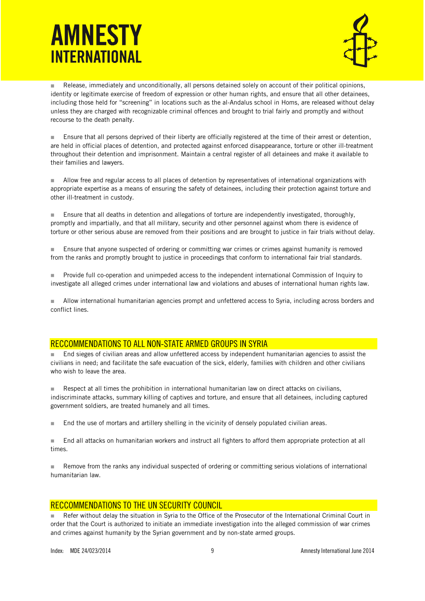

Release, immediately and unconditionally, all persons detained solely on account of their political opinions, identity or legitimate exercise of freedom of expression or other human rights, and ensure that all other detainees, including those held for "screening" in locations such as the al-Andalus school in Homs, are released without delay unless they are charged with recognizable criminal offences and brought to trial fairly and promptly and without recourse to the death penalty.

**Ensure that all persons deprived of their liberty are officially registered at the time of their arrest or detention,** are held in official places of detention, and protected against enforced disappearance, torture or other ill-treatment throughout their detention and imprisonment. Maintain a central register of all detainees and make it available to their families and lawyers.

 Allow free and regular access to all places of detention by representatives of international organizations with appropriate expertise as a means of ensuring the safety of detainees, including their protection against torture and other ill-treatment in custody.

**Ensure that all deaths in detention and allegations of torture are independently investigated, thoroughly,** promptly and impartially, and that all military, security and other personnel against whom there is evidence of torture or other serious abuse are removed from their positions and are brought to justice in fair trials without delay.

**Ensure that anyone suspected of ordering or committing war crimes or crimes against humanity is removed** from the ranks and promptly brought to justice in proceedings that conform to international fair trial standards.

 Provide full co-operation and unimpeded access to the independent international Commission of Inquiry to investigate all alleged crimes under international law and violations and abuses of international human rights law.

Allow international humanitarian agencies prompt and unfettered access to Syria, including across borders and conflict lines.

### RECCOMMENDATIONS TO ALL NON-STATE ARMED GROUPS IN SYRIA

 End sieges of civilian areas and allow unfettered access by independent humanitarian agencies to assist the civilians in need; and facilitate the safe evacuation of the sick, elderly, families with children and other civilians who wish to leave the area.

 Respect at all times the prohibition in international humanitarian law on direct attacks on civilians, indiscriminate attacks, summary killing of captives and torture, and ensure that all detainees, including captured government soldiers, are treated humanely and all times.

■ End the use of mortars and artillery shelling in the vicinity of densely populated civilian areas.

 End all attacks on humanitarian workers and instruct all fighters to afford them appropriate protection at all times.

 Remove from the ranks any individual suspected of ordering or committing serious violations of international humanitarian law.

### RECCOMMENDATIONS TO THE UN SECURITY COUNCIL

 Refer without delay the situation in Syria to the Office of the Prosecutor of the International Criminal Court in order that the Court is authorized to initiate an immediate investigation into the alleged commission of war crimes and crimes against humanity by the Syrian government and by non-state armed groups.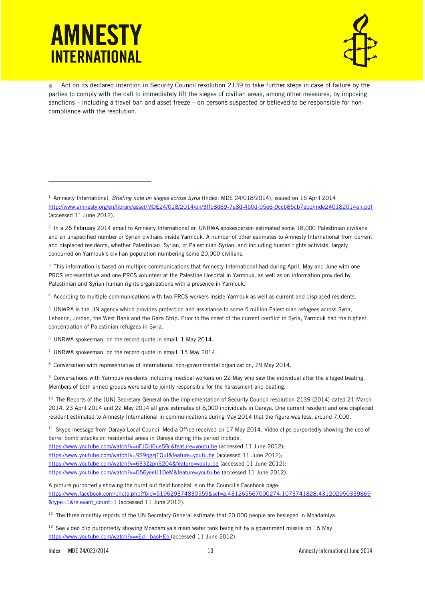j



Act on its declared intention in Security Council resolution 2139 to take further steps in case of failure by the parties to comply with the call to immediately lift the sieges of civilian areas, among other measures, by imposing sanctions – including a travel ban and asset freeze – on persons suspected or believed to be responsible for noncompliance with the resolution.

 $3$  This information is based on multiple communications that Amnesty International had during April. May and June with one PRCS representative and one PRCS volunteer at the Palestine Hospital in Yarmouk, as well as on information provided by Palestinian and Syrian human rights organizations with a presence in Yarmouk.

<sup>4</sup> According to multiple communications with two PRCS workers inside Yarmouk as well as current and displaced residents.

<sup>5</sup> UNWRA is the UN agency which provides protection and assistance to some 5 million Palestinian refugees across Syria, Lebanon, Jordan, the West Bank and the Gaza Strip. Prior to the onset of the current conflict in Syria, Yarmouk had the highest concentration of Palestinian refugees in Syria.

<sup>6</sup> UNRWA spokesman, on the record quote in email, 1 May 2014.

<sup>7</sup> UNRWA spokesman, on the record quote in email, 15 May 2014.

<sup>8</sup> Conversation with representative of international non-governmental organization, 29 May 2014.

<sup>9</sup> Conversations with Yarmouk residents including medical workers on 22 May who saw the individual after the alleged beating. Members of both armed groups were said to jointly responsible for the harassment and beating.

<sup>10</sup> The Reports of the [UN} Secretary-General on the implementation of Security Council resolution 2139 (2014) dated 21 March 2014, 23 April 2014 and 22 May 2014 all give estimates of 8,000 individuals in Daraya. One current resident and one displaced resident estimated to Amnesty International in communications during May 2014 that the figure was less, around 7,000.

<sup>11</sup> Skype message from Daraya Local Council Media Office received on 17 May 2014. Video clips purportedly showing the use of barrel bomb attacks on residential areas in Daraya during this period include:

<https://www.youtube.com/watch?v=uFJCH6ue5GI&feature=youtu.be> (accessed 11 June 2012); <https://www.youtube.com/watch?v=9S9qgzjFOuI&feature=youtu.be> (accessed 11 June 2012); <https://www.youtube.com/watch?v=633ZzpnS204&feature=youtu.be> (accessed 11 June 2012); <https://www.youtube.com/watch?v=D56yeeU1OeM&feature=youtu.be> (accessed 11 June 2012).

A picture purportedly showing the burnt out field hospital is on the Council's Facebook page: [https://www.facebook.com/photo.php?fbid=519629374830559&set=a.431265567000274.1073741828.431202950339869](https://www.facebook.com/photo.php?fbid=519629374830559&set=a.431265567000274.1073741828.431202950339869&type=1&relevant_count=1) [&type=1&relevant\\_count=1](https://www.facebook.com/photo.php?fbid=519629374830559&set=a.431265567000274.1073741828.431202950339869&type=1&relevant_count=1) (accessed 11 June 2012).

<sup>12</sup> The three monthly reports of the UN Secretary-General estimate that 20,000 people are besieged in Moadamiya.

<sup>13</sup> See video clip purportedly showing Moadamiya's main water tank being hit by a government missile on 15 May [https://www.youtube.com/watch?v=vEd-\\_baoHEo](https://www.youtube.com/watch?v=vEd-_baoHEo) (accessed 11 June 2012).

<sup>1</sup> Amnesty International, *Briefing note on sieges across Syria* (Index: MDE 24/018/2014), issued on 16 April 2014 <http://www.amnesty.org/en/library/asset/MDE24/018/2014/en/3ffb8d69-7e8d-4b0d-95e6-9ccb85cb7ebd/mde240182014en.pdf> (accessed 11 June 2012).

<sup>2</sup> In a 25 February 2014 email to Amnesty International an UNRWA spokesperson estimated some 18,000 Palestinian civilians and an unspecified number or Syrian civilians inside Yarmouk. A number of other estimates to Amnesty International from current and displaced residents, whether Palestinian, Syrian, or Palestinian-Syrian, and including human rights activists, largely concurred on Yarmouk's civilian population numbering some 20,000 civilians.